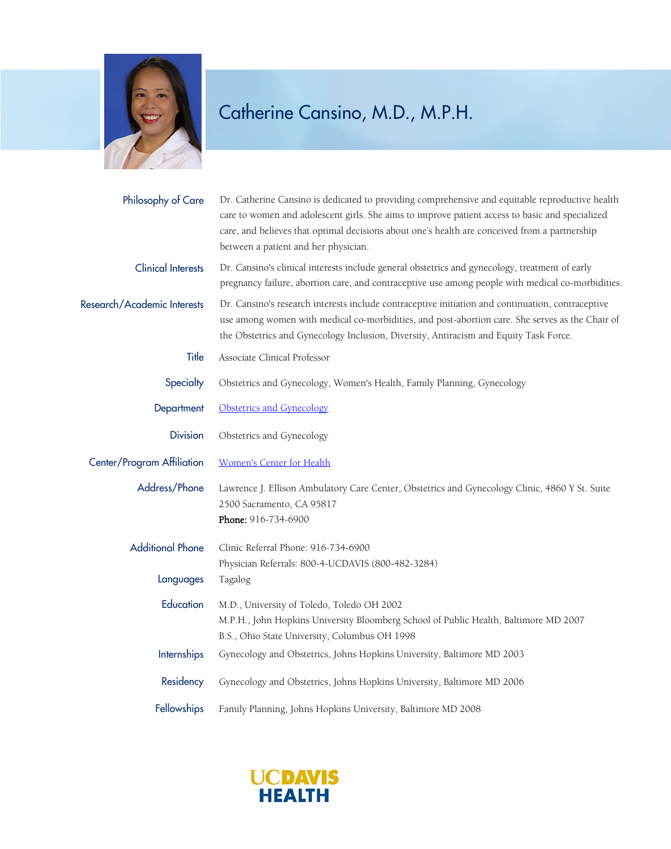

## Catherine Cansino, M.D., M.P.H.

| Philosophy of Care          | Dr. Catherine Cansino is dedicated to providing comprehensive and equitable reproductive health<br>care to women and adolescent girls. She aims to improve patient access to basic and specialized<br>care, and believes that optimal decisions about one's health are conceived from a partnership<br>between a patient and her physician. |
|-----------------------------|---------------------------------------------------------------------------------------------------------------------------------------------------------------------------------------------------------------------------------------------------------------------------------------------------------------------------------------------|
| <b>Clinical Interests</b>   | Dr. Cansino's clinical interests include general obstetrics and gynecology, treatment of early<br>pregnancy failure, abortion care, and contraceptive use among people with medical co-morbidities.                                                                                                                                         |
| Research/Academic Interests | Dr. Cansino's research interests include contraceptive initiation and continuation, contraceptive<br>use among women with medical co-morbidities, and post-abortion care. She serves as the Chair of<br>the Obstetrics and Gynecology Inclusion, Diversity, Antiracism and Equity Task Force.                                               |
| Title                       | Associate Clinical Professor                                                                                                                                                                                                                                                                                                                |
| Specialty                   | Obstetrics and Gynecology, Women's Health, Family Planning, Gynecology                                                                                                                                                                                                                                                                      |
| Department                  | Obstetrics and Gynecology                                                                                                                                                                                                                                                                                                                   |
| <b>Division</b>             | Obstetrics and Gynecology                                                                                                                                                                                                                                                                                                                   |
| Center/Program Affiliation  | <b>Women's Center for Health</b>                                                                                                                                                                                                                                                                                                            |
| Address/Phone               | Lawrence J. Ellison Ambulatory Care Center, Obstetrics and Gynecology Clinic, 4860 Y St. Suite<br>2500 Sacramento, CA 95817<br>Phone: 916-734-6900                                                                                                                                                                                          |
| <b>Additional Phone</b>     | Clinic Referral Phone: 916-734-6900                                                                                                                                                                                                                                                                                                         |
| Languages                   | Physician Referrals: 800-4-UCDAVIS (800-482-3284)<br>Tagalog                                                                                                                                                                                                                                                                                |
| Education                   | M.D., University of Toledo, Toledo OH 2002<br>M.P.H., John Hopkins University Bloomberg School of Public Health, Baltimore MD 2007<br>B.S., Ohio State University, Columbus OH 1998                                                                                                                                                         |
| Internships                 | Gynecology and Obstetrics, Johns Hopkins University, Baltimore MD 2003                                                                                                                                                                                                                                                                      |
| Residency                   | Gynecology and Obstetrics, Johns Hopkins University, Baltimore MD 2006                                                                                                                                                                                                                                                                      |
| Fellowships                 | Family Planning, Johns Hopkins University, Baltimore MD 2008                                                                                                                                                                                                                                                                                |

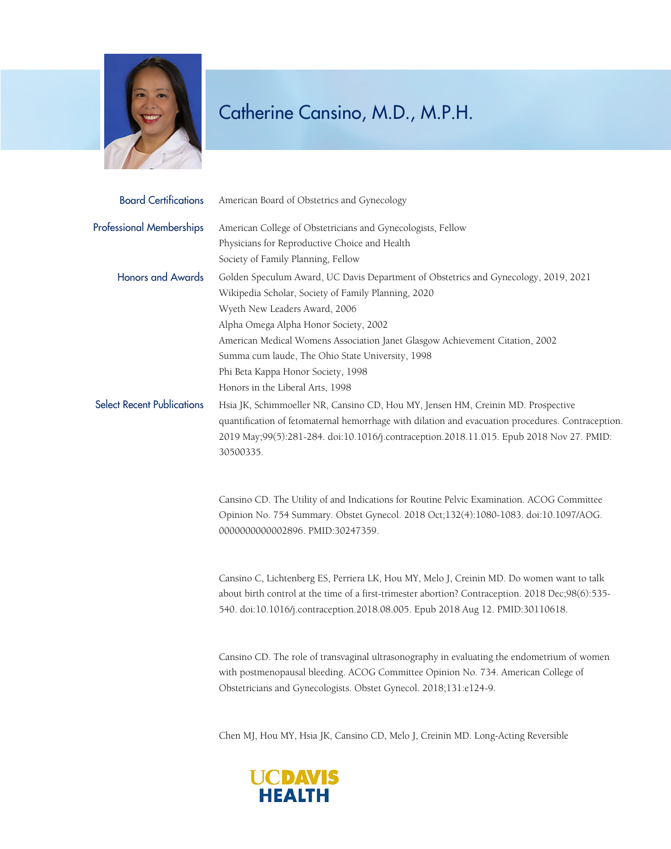

## Catherine Cansino, M.D., M.P.H.

| <b>Board Certifications</b>       | American Board of Obstetrics and Gynecology                                                                                                                                                                                                                                                                                                                                                                                        |
|-----------------------------------|------------------------------------------------------------------------------------------------------------------------------------------------------------------------------------------------------------------------------------------------------------------------------------------------------------------------------------------------------------------------------------------------------------------------------------|
| <b>Professional Memberships</b>   | American College of Obstetricians and Gynecologists, Fellow<br>Physicians for Reproductive Choice and Health<br>Society of Family Planning, Fellow                                                                                                                                                                                                                                                                                 |
| <b>Honors and Awards</b>          | Golden Speculum Award, UC Davis Department of Obstetrics and Gynecology, 2019, 2021<br>Wikipedia Scholar, Society of Family Planning, 2020<br>Wyeth New Leaders Award, 2006<br>Alpha Omega Alpha Honor Society, 2002<br>American Medical Womens Association Janet Glasgow Achievement Citation, 2002<br>Summa cum laude, The Ohio State University, 1998<br>Phi Beta Kappa Honor Society, 1998<br>Honors in the Liberal Arts, 1998 |
| <b>Select Recent Publications</b> | Hsia JK, Schimmoeller NR, Cansino CD, Hou MY, Jensen HM, Creinin MD. Prospective<br>quantification of fetomaternal hemorrhage with dilation and evacuation procedures. Contraception.<br>2019 May;99(5):281-284. doi:10.1016/j.contraception.2018.11.015. Epub 2018 Nov 27. PMID:<br>30500335.                                                                                                                                     |
|                                   | Cansino CD. The Utility of and Indications for Routine Pelvic Examination. ACOG Committee<br>Opinion No. 754 Summary. Obstet Gynecol. 2018 Oct;132(4):1080-1083. doi:10.1097/AOG.<br>0000000000002896. PMID:30247359.                                                                                                                                                                                                              |
|                                   | Cansino C, Lichtenberg ES, Perriera LK, Hou MY, Melo J, Creinin MD. Do women want to talk<br>about birth control at the time of a first-trimester abortion? Contraception. 2018 Dec;98(6):535-<br>540. doi:10.1016/j.contraception.2018.08.005. Epub 2018 Aug 12. PMID:30110618.                                                                                                                                                   |
|                                   | Cansino CD. The role of transvaginal ultrasonography in evaluating the endometrium of women<br>with postmenopausal bleeding. ACOG Committee Opinion No. 734. American College of<br>Obstetricians and Gynecologists. Obstet Gynecol. 2018;131:e124-9.                                                                                                                                                                              |

Chen MJ, Hou MY, Hsia JK, Cansino CD, Melo J, Creinin MD. Long-Acting Reversible